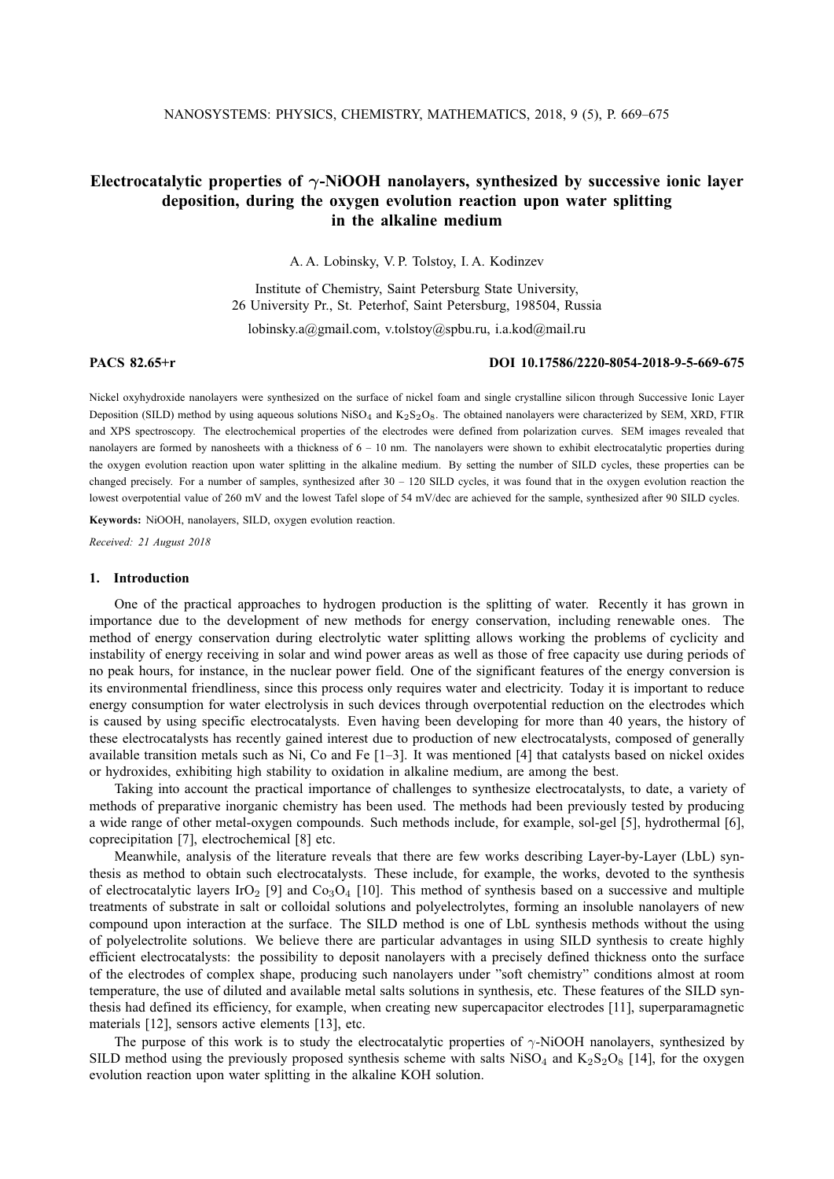# **Electrocatalytic properties of** γ**-NiOOH nanolayers, synthesized by successive ionic layer deposition, during the oxygen evolution reaction upon water splitting in the alkaline medium**

A. A. Lobinsky, V. P. Tolstoy, I. A. Kodinzev

Institute of Chemistry, Saint Petersburg State University, 26 University Pr., St. Peterhof, Saint Petersburg, 198504, Russia

lobinsky.a@gmail.com, v.tolstoy@spbu.ru, i.a.kod@mail.ru

## **PACS 82.65+r DOI 10.17586/2220-8054-2018-9-5-669-675**

Nickel oxyhydroxide nanolayers were synthesized on the surface of nickel foam and single crystalline silicon through Successive Ionic Layer Deposition (SILD) method by using aqueous solutions  $N$ iSO<sub>4</sub> and  $K_2S_2O_8$ . The obtained nanolayers were characterized by SEM, XRD, FTIR and XPS spectroscopy. The electrochemical properties of the electrodes were defined from polarization curves. SEM images revealed that nanolayers are formed by nanosheets with a thickness of  $6 - 10$  nm. The nanolayers were shown to exhibit electrocatalytic properties during the oxygen evolution reaction upon water splitting in the alkaline medium. By setting the number of SILD cycles, these properties can be changed precisely. For a number of samples, synthesized after  $30 - 120$  SILD cycles, it was found that in the oxygen evolution reaction the lowest overpotential value of 260 mV and the lowest Tafel slope of 54 mV/dec are achieved for the sample, synthesized after 90 SILD cycles.

**Keywords:** NiOOH, nanolayers, SILD, oxygen evolution reaction.

*Received: 21 August 2018*

#### **1. Introduction**

One of the practical approaches to hydrogen production is the splitting of water. Recently it has grown in importance due to the development of new methods for energy conservation, including renewable ones. The method of energy conservation during electrolytic water splitting allows working the problems of cyclicity and instability of energy receiving in solar and wind power areas as well as those of free capacity use during periods of no peak hours, for instance, in the nuclear power field. One of the significant features of the energy conversion is its environmental friendliness, since this process only requires water and electricity. Today it is important to reduce energy consumption for water electrolysis in such devices through overpotential reduction on the electrodes which is caused by using specific electrocatalysts. Even having been developing for more than 40 years, the history of these electrocatalysts has recently gained interest due to production of new electrocatalysts, composed of generally available transition metals such as Ni, Co and Fe  $[1-3]$ . It was mentioned  $[4]$  that catalysts based on nickel oxides or hydroxides, exhibiting high stability to oxidation in alkaline medium, are among the best.

Taking into account the practical importance of challenges to synthesize electrocatalysts, to date, a variety of methods of preparative inorganic chemistry has been used. The methods had been previously tested by producing a wide range of other metal-oxygen compounds. Such methods include, for example, sol-gel [5], hydrothermal [6], coprecipitation [7], electrochemical [8] etc.

Meanwhile, analysis of the literature reveals that there are few works describing Layer-by-Layer (LbL) synthesis as method to obtain such electrocatalysts. These include, for example, the works, devoted to the synthesis of electrocatalytic layers IrO<sub>2</sub> [9] and Co<sub>3</sub>O<sub>4</sub> [10]. This method of synthesis based on a successive and multiple treatments of substrate in salt or colloidal solutions and polyelectrolytes, forming an insoluble nanolayers of new compound upon interaction at the surface. The SILD method is one of LbL synthesis methods without the using of polyelectrolite solutions. We believe there are particular advantages in using SILD synthesis to create highly efficient electrocatalysts: the possibility to deposit nanolayers with a precisely defined thickness onto the surface of the electrodes of complex shape, producing such nanolayers under "soft chemistry" conditions almost at room temperature, the use of diluted and available metal salts solutions in synthesis, etc. These features of the SILD synthesis had defined its efficiency, for example, when creating new supercapacitor electrodes [11], superparamagnetic materials [12], sensors active elements [13], etc.

The purpose of this work is to study the electrocatalytic properties of  $\gamma$ -NiOOH nanolayers, synthesized by SILD method using the previously proposed synthesis scheme with salts  $Niso<sub>4</sub>$  and  $K<sub>2</sub>S<sub>2</sub>O<sub>8</sub>$  [14], for the oxygen evolution reaction upon water splitting in the alkaline KOH solution.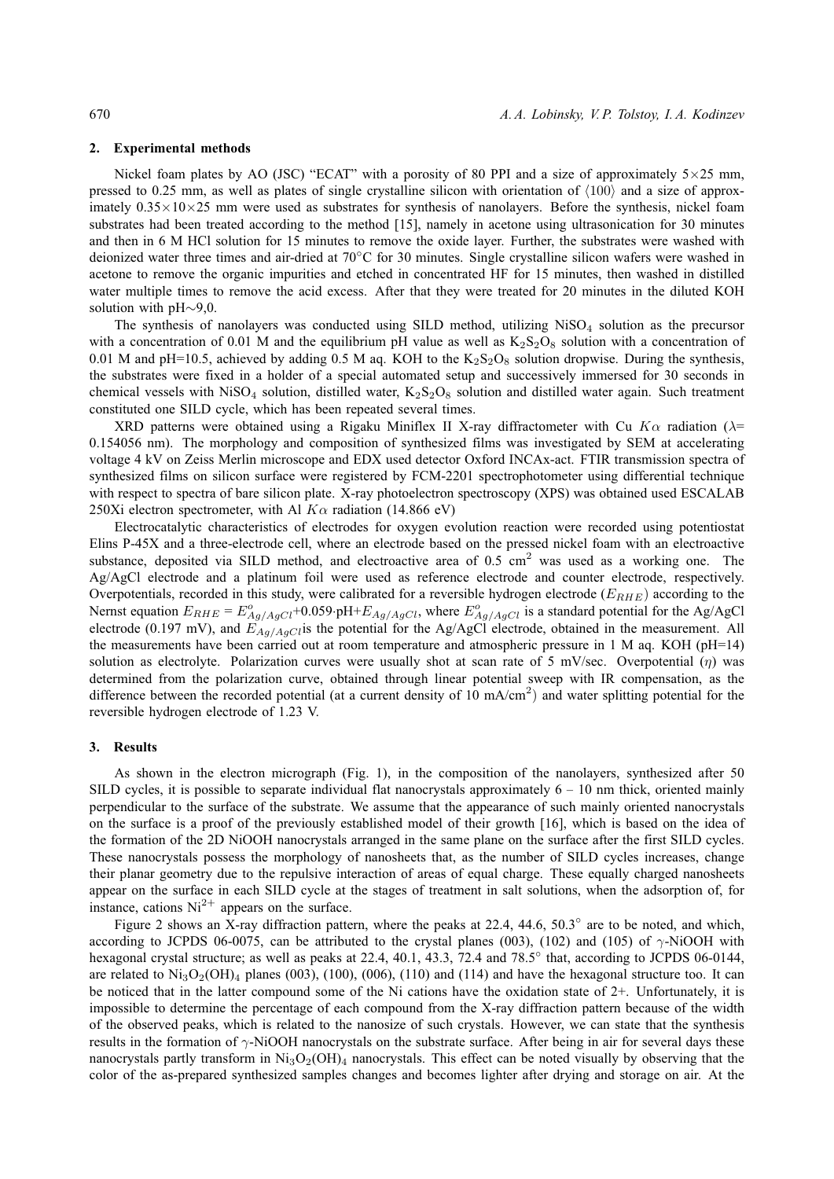### **2. Experimental methods**

Nickel foam plates by AO (JSC) "ECAT" with a porosity of 80 PPI and a size of approximately 5×25 mm, pressed to 0.25 mm, as well as plates of single crystalline silicon with orientation of  $\langle 100 \rangle$  and a size of approximately  $0.35 \times 10 \times 25$  mm were used as substrates for synthesis of nanolayers. Before the synthesis, nickel foam substrates had been treated according to the method [15], namely in acetone using ultrasonication for 30 minutes and then in 6 M HCl solution for 15 minutes to remove the oxide layer. Further, the substrates were washed with deionized water three times and air-dried at 70◦C for 30 minutes. Single crystalline silicon wafers were washed in acetone to remove the organic impurities and etched in concentrated HF for 15 minutes, then washed in distilled water multiple times to remove the acid excess. After that they were treated for 20 minutes in the diluted KOH solution with pH∼9,0.

The synthesis of nanolayers was conducted using SILD method, utilizing  $Niso<sub>4</sub>$  solution as the precursor with a concentration of 0.01 M and the equilibrium pH value as well as  $K_2S_2O_8$  solution with a concentration of 0.01 M and pH=10.5, achieved by adding 0.5 M aq. KOH to the  $K_2S_2O_8$  solution dropwise. During the synthesis, the substrates were fixed in a holder of a special automated setup and successively immersed for 30 seconds in chemical vessels with NiSO<sub>4</sub> solution, distilled water,  $K_2S_2O_8$  solution and distilled water again. Such treatment constituted one SILD cycle, which has been repeated several times.

XRD patterns were obtained using a Rigaku Miniflex II X-ray diffractometer with Cu K $\alpha$  radiation ( $\lambda$ = 0.154056 nm). The morphology and composition of synthesized films was investigated by SEM at accelerating voltage 4 kV on Zeiss Merlin microscope and EDX used detector Oxford INCAx-act. FTIR transmission spectra of synthesized films on silicon surface were registered by FCM-2201 spectrophotometer using differential technique with respect to spectra of bare silicon plate. X-ray photoelectron spectroscopy (XPS) was obtained used ESCALAB 250Xi electron spectrometer, with Al  $K\alpha$  radiation (14.866 eV)

Electrocatalytic characteristics of electrodes for oxygen evolution reaction were recorded using potentiostat Elins P-45X and a three-electrode cell, where an electrode based on the pressed nickel foam with an electroactive substance, deposited via SILD method, and electroactive area of 0.5 cm<sup>2</sup> was used as a working one. The Ag/AgCl electrode and a platinum foil were used as reference electrode and counter electrode, respectively. Overpotentials, recorded in this study, were calibrated for a reversible hydrogen electrode ( $E_{RHE}$ ) according to the Nernst equation  $E_{RHE} = E_{Ag/AgCl}^o + 0.059 \cdot pH + E_{Ag/AgCl}$ , where  $E_{Ag/AgCl}^o$  is a standard potential for the Ag/AgCl electrode (0.197 mV), and  $E_{Ag/AgCl}$  is the potential for the Ag/AgCl electrode, obtained in the measurement. All the measurements have been carried out at room temperature and atmospheric pressure in 1 M aq. KOH (pH=14) solution as electrolyte. Polarization curves were usually shot at scan rate of 5 mV/sec. Overpotential  $(\eta)$  was determined from the polarization curve, obtained through linear potential sweep with IR compensation, as the difference between the recorded potential (at a current density of 10 mA/cm<sup>2</sup>) and water splitting potential for the reversible hydrogen electrode of 1.23 V.

### **3. Results**

As shown in the electron micrograph (Fig. 1), in the composition of the nanolayers, synthesized after 50 SILD cycles, it is possible to separate individual flat nanocrystals approximately  $6 - 10$  nm thick, oriented mainly perpendicular to the surface of the substrate. We assume that the appearance of such mainly oriented nanocrystals on the surface is a proof of the previously established model of their growth [16], which is based on the idea of the formation of the 2D NiOOH nanocrystals arranged in the same plane on the surface after the first SILD cycles. These nanocrystals possess the morphology of nanosheets that, as the number of SILD cycles increases, change their planar geometry due to the repulsive interaction of areas of equal charge. These equally charged nanosheets appear on the surface in each SILD cycle at the stages of treatment in salt solutions, when the adsorption of, for instance, cations  $Ni^{2+}$  appears on the surface.

Figure 2 shows an X-ray diffraction pattern, where the peaks at 22.4, 44.6, 50.3° are to be noted, and which, according to JCPDS 06-0075, can be attributed to the crystal planes (003), (102) and (105) of  $\gamma$ -NiOOH with hexagonal crystal structure; as well as peaks at 22.4, 40.1, 43.3, 72.4 and 78.5° that, according to JCPDS 06-0144, are related to  $\text{Ni}_3\text{O}_2(\text{OH})_4$  planes (003), (100), (006), (110) and (114) and have the hexagonal structure too. It can be noticed that in the latter compound some of the Ni cations have the oxidation state of 2+. Unfortunately, it is impossible to determine the percentage of each compound from the X-ray diffraction pattern because of the width of the observed peaks, which is related to the nanosize of such crystals. However, we can state that the synthesis results in the formation of  $\gamma$ -NiOOH nanocrystals on the substrate surface. After being in air for several days these nanocrystals partly transform in  $\text{Ni}_3\text{O}_2(\text{OH})_4$  nanocrystals. This effect can be noted visually by observing that the color of the as-prepared synthesized samples changes and becomes lighter after drying and storage on air. At the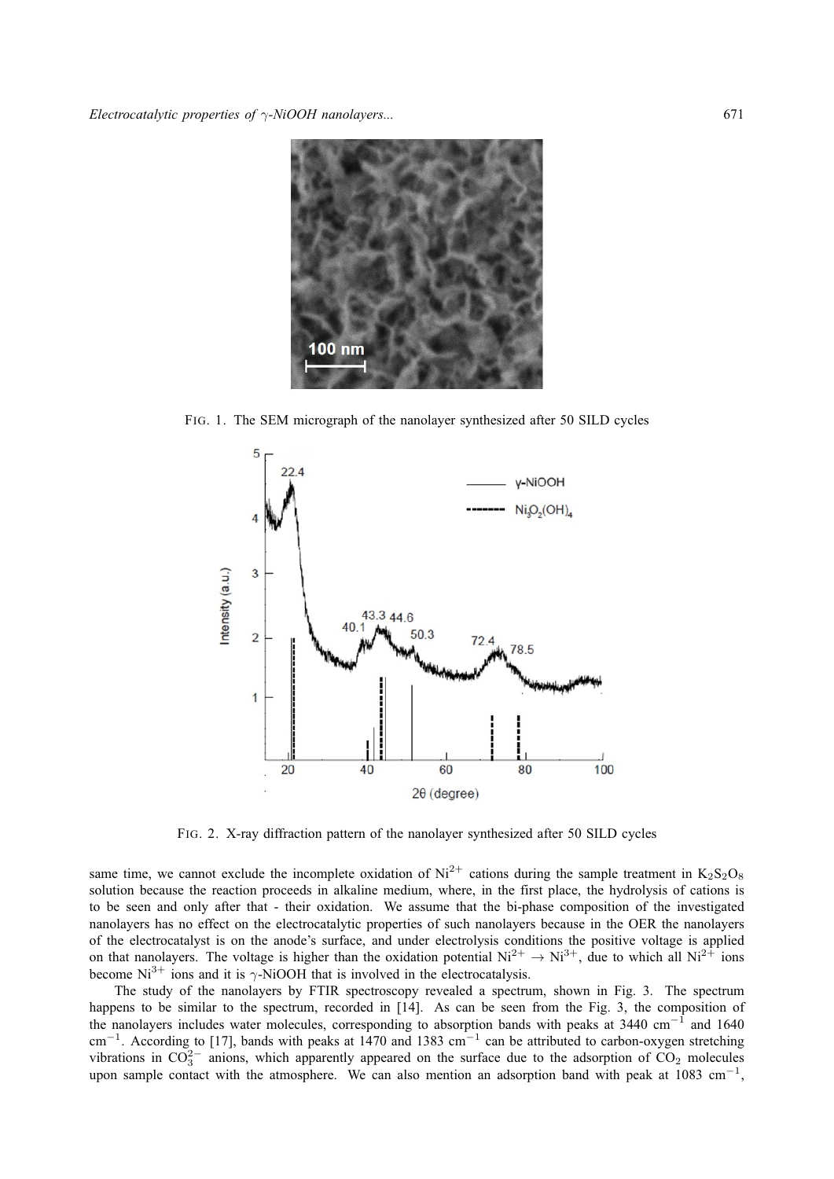

FIG. 1. The SEM micrograph of the nanolayer synthesized after 50 SILD cycles



FIG. 2. X-ray diffraction pattern of the nanolayer synthesized after 50 SILD cycles

same time, we cannot exclude the incomplete oxidation of  $Ni^{2+}$  cations during the sample treatment in  $K_2S_2O_8$ solution because the reaction proceeds in alkaline medium, where, in the first place, the hydrolysis of cations is to be seen and only after that - their oxidation. We assume that the bi-phase composition of the investigated nanolayers has no effect on the electrocatalytic properties of such nanolayers because in the OER the nanolayers of the electrocatalyst is on the anode's surface, and under electrolysis conditions the positive voltage is applied on that nanolayers. The voltage is higher than the oxidation potential  $Ni^{2+} \rightarrow Ni^{3+}$ , due to which all  $Ni^{2+}$  ions become  $Ni^{3+}$  ions and it is  $\gamma$ -NiOOH that is involved in the electrocatalysis.

The study of the nanolayers by FTIR spectroscopy revealed a spectrum, shown in Fig. 3. The spectrum happens to be similar to the spectrum, recorded in [14]. As can be seen from the Fig. 3, the composition of the nanolayers includes water molecules, corresponding to absorption bands with peaks at 3440 cm<sup>−</sup><sup>1</sup> and 1640 cm<sup>-1</sup>. According to [17], bands with peaks at 1470 and 1383 cm<sup>-1</sup> can be attributed to carbon-oxygen stretching vibrations in  $CO_3^{2-}$  anions, which apparently appeared on the surface due to the adsorption of  $CO_2$  molecules upon sample contact with the atmosphere. We can also mention an adsorption band with peak at 1083 cm<sup>-1</sup>,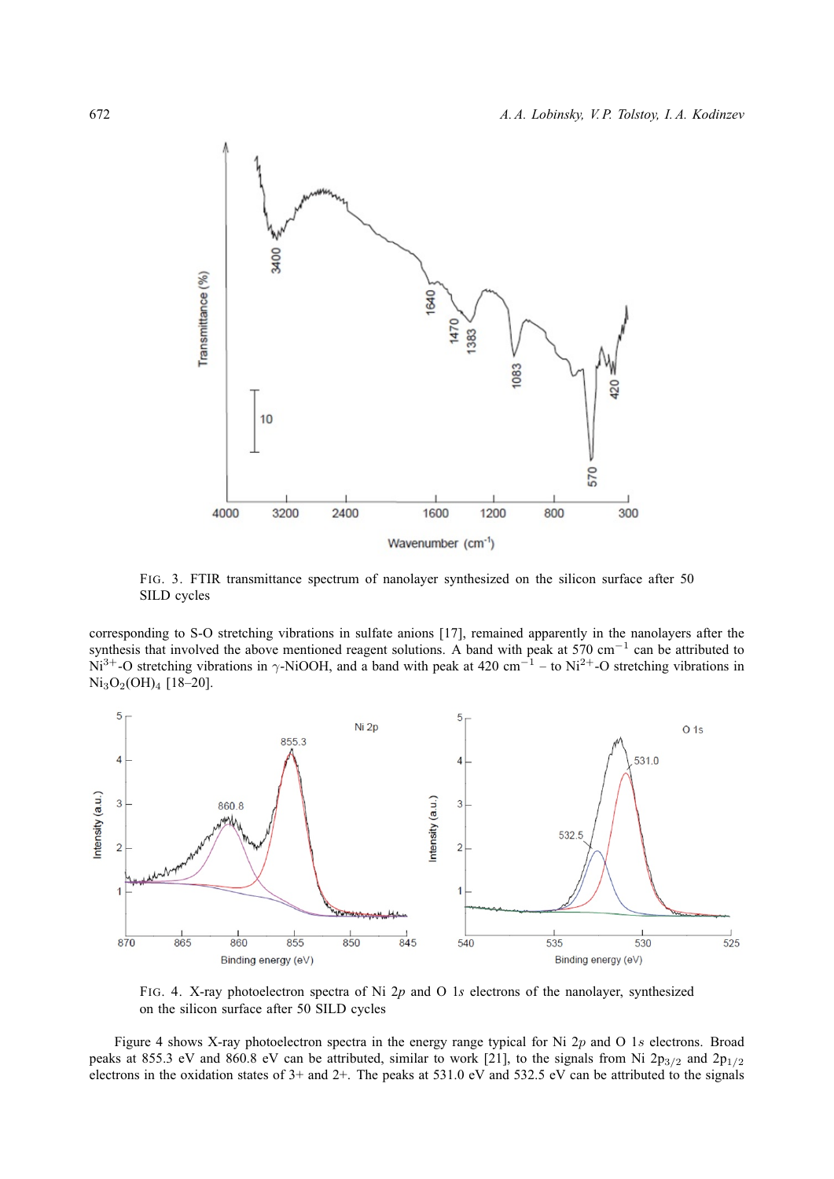

FIG. 3. FTIR transmittance spectrum of nanolayer synthesized on the silicon surface after 50 SILD cycles

corresponding to S-O stretching vibrations in sulfate anions [17], remained apparently in the nanolayers after the synthesis that involved the above mentioned reagent solutions. A band with peak at 570 cm<sup>-1</sup> can be attributed to Ni<sup>3+</sup>-O stretching vibrations in  $\gamma$ -NiOOH, and a band with peak at 420 cm<sup>-1</sup> – to Ni<sup>2+</sup>-O stretching vibrations in  $Ni<sub>3</sub>O<sub>2</sub>(OH)<sub>4</sub>$  [18–20].



FIG. 4. X-ray photoelectron spectra of Ni 2*p* and O 1*s* electrons of the nanolayer, synthesized on the silicon surface after 50 SILD cycles

Figure 4 shows X-ray photoelectron spectra in the energy range typical for Ni 2p and O 1s electrons. Broad peaks at 855.3 eV and 860.8 eV can be attributed, similar to work [21], to the signals from Ni  $2p_{3/2}$  and  $2p_{1/2}$ electrons in the oxidation states of 3+ and 2+. The peaks at 531.0 eV and 532.5 eV can be attributed to the signals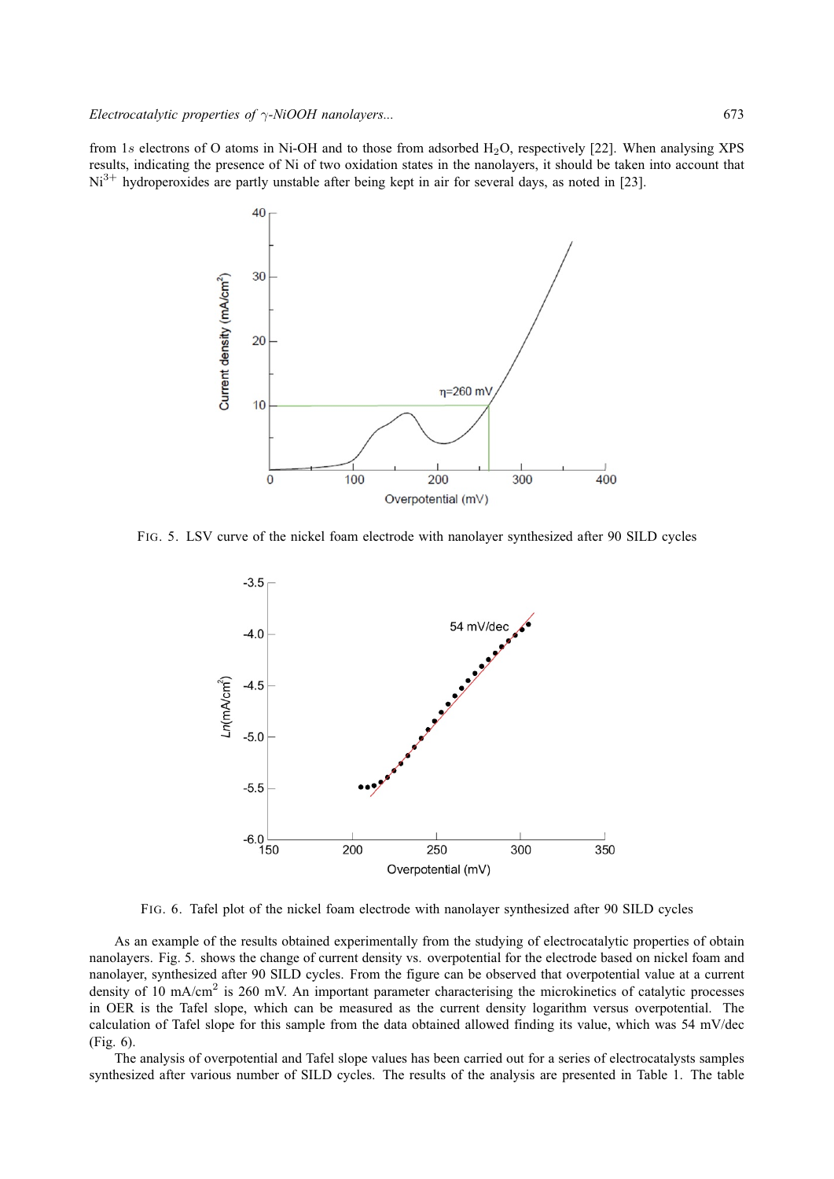from 1s electrons of O atoms in Ni-OH and to those from adsorbed  $H_2O$ , respectively [22]. When analysing XPS results, indicating the presence of Ni of two oxidation states in the nanolayers, it should be taken into account that  $Ni<sup>3+</sup>$  hydroperoxides are partly unstable after being kept in air for several days, as noted in [23].



FIG. 5. LSV curve of the nickel foam electrode with nanolayer synthesized after 90 SILD cycles



FIG. 6. Tafel plot of the nickel foam electrode with nanolayer synthesized after 90 SILD cycles

As an example of the results obtained experimentally from the studying of electrocatalytic properties of obtain nanolayers. Fig. 5. shows the change of current density vs. overpotential for the electrode based on nickel foam and nanolayer, synthesized after 90 SILD cycles. From the figure can be observed that overpotential value at a current density of 10 mA/cm<sup>2</sup> is 260 mV. An important parameter characterising the microkinetics of catalytic processes in OER is the Tafel slope, which can be measured as the current density logarithm versus overpotential. The calculation of Tafel slope for this sample from the data obtained allowed finding its value, which was 54 mV/dec (Fig. 6).

The analysis of overpotential and Tafel slope values has been carried out for a series of electrocatalysts samples synthesized after various number of SILD cycles. The results of the analysis are presented in Table 1. The table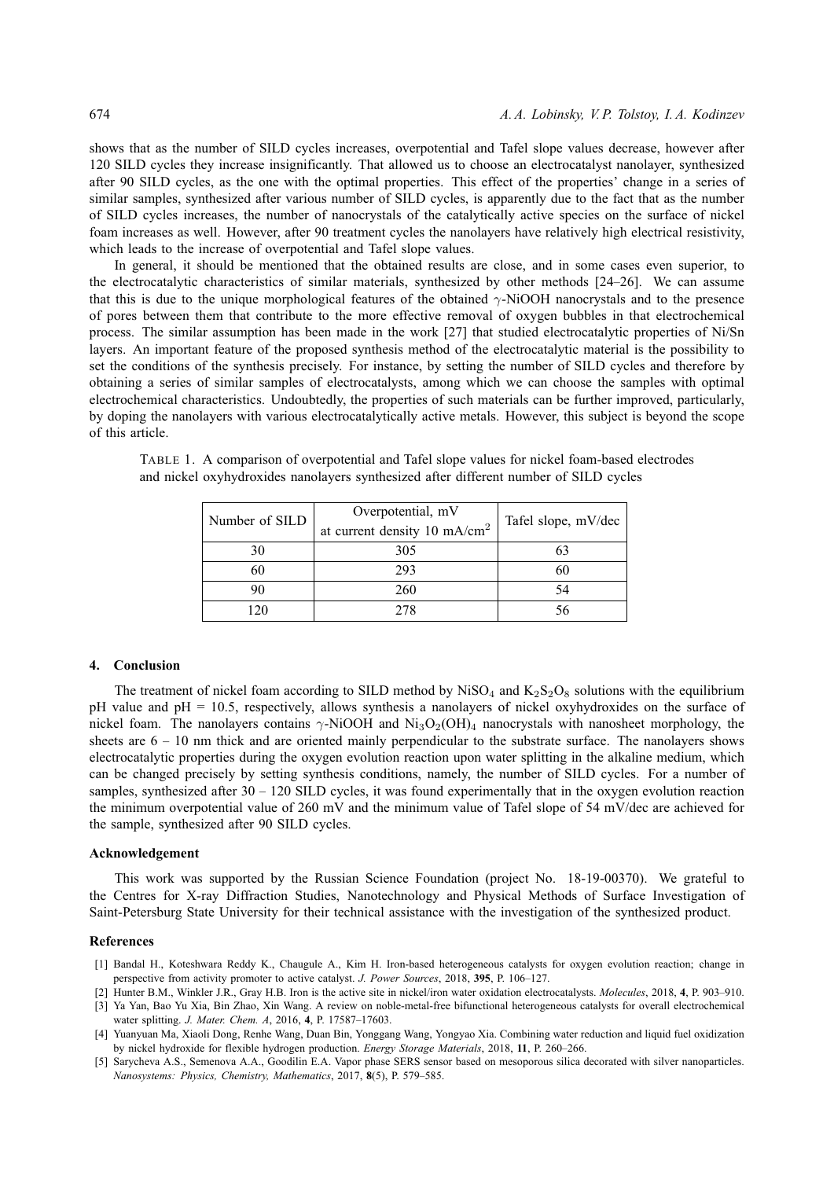shows that as the number of SILD cycles increases, overpotential and Tafel slope values decrease, however after 120 SILD cycles they increase insignificantly. That allowed us to choose an electrocatalyst nanolayer, synthesized after 90 SILD cycles, as the one with the optimal properties. This effect of the properties' change in a series of similar samples, synthesized after various number of SILD cycles, is apparently due to the fact that as the number of SILD cycles increases, the number of nanocrystals of the catalytically active species on the surface of nickel foam increases as well. However, after 90 treatment cycles the nanolayers have relatively high electrical resistivity, which leads to the increase of overpotential and Tafel slope values.

In general, it should be mentioned that the obtained results are close, and in some cases even superior, to the electrocatalytic characteristics of similar materials, synthesized by other methods [24–26]. We can assume that this is due to the unique morphological features of the obtained γ-NiOOH nanocrystals and to the presence of pores between them that contribute to the more effective removal of oxygen bubbles in that electrochemical process. The similar assumption has been made in the work [27] that studied electrocatalytic properties of Ni/Sn layers. An important feature of the proposed synthesis method of the electrocatalytic material is the possibility to set the conditions of the synthesis precisely. For instance, by setting the number of SILD cycles and therefore by obtaining a series of similar samples of electrocatalysts, among which we can choose the samples with optimal electrochemical characteristics. Undoubtedly, the properties of such materials can be further improved, particularly, by doping the nanolayers with various electrocatalytically active metals. However, this subject is beyond the scope of this article.

| Number of SILD | Overpotential, mV<br>at current density 10 mA/cm <sup>2</sup> | Tafel slope, mV/dec |
|----------------|---------------------------------------------------------------|---------------------|
| 30             | 305                                                           |                     |
| 60             | 293                                                           | 60                  |
| 90             | 260                                                           |                     |
| 20             | 278                                                           |                     |

TABLE 1. A comparison of overpotential and Tafel slope values for nickel foam-based electrodes and nickel oxyhydroxides nanolayers synthesized after different number of SILD cycles

### **4. Conclusion**

The treatment of nickel foam according to SILD method by  $Niso_4$  and  $K_2S_2O_8$  solutions with the equilibrium pH value and pH = 10.5, respectively, allows synthesis a nanolayers of nickel oxyhydroxides on the surface of nickel foam. The nanolayers contains  $\gamma$ -NiOOH and Ni<sub>3</sub>O<sub>2</sub>(OH)<sub>4</sub> nanocrystals with nanosheet morphology, the sheets are  $6 - 10$  nm thick and are oriented mainly perpendicular to the substrate surface. The nanolayers shows electrocatalytic properties during the oxygen evolution reaction upon water splitting in the alkaline medium, which can be changed precisely by setting synthesis conditions, namely, the number of SILD cycles. For a number of samples, synthesized after 30 – 120 SILD cycles, it was found experimentally that in the oxygen evolution reaction the minimum overpotential value of 260 mV and the minimum value of Tafel slope of 54 mV/dec are achieved for the sample, synthesized after 90 SILD cycles.

#### **Acknowledgement**

This work was supported by the Russian Science Foundation (project No. 18-19-00370). We grateful to the Centres for X-ray Diffraction Studies, Nanotechnology and Physical Methods of Surface Investigation of Saint-Petersburg State University for their technical assistance with the investigation of the synthesized product.

#### **References**

- [1] Bandal H., Koteshwara Reddy K., Chaugule A., Kim H. Iron-based heterogeneous catalysts for oxygen evolution reaction; change in perspective from activity promoter to active catalyst. *J. Power Sources*, 2018, **395**, P. 106–127.
- [2] Hunter B.M., Winkler J.R., Gray H.B. Iron is the active site in nickel/iron water oxidation electrocatalysts. *Molecules*, 2018, **4**, P. 903–910.
- [3] Ya Yan, Bao Yu Xia, Bin Zhao, Xin Wang. A review on noble-metal-free bifunctional heterogeneous catalysts for overall electrochemical water splitting. *J. Mater. Chem. A*, 2016, **4**, P. 17587–17603.
- [4] Yuanyuan Ma, Xiaoli Dong, Renhe Wang, Duan Bin, Yonggang Wang, Yongyao Xia. Combining water reduction and liquid fuel oxidization by nickel hydroxide for flexible hydrogen production. *Energy Storage Materials*, 2018, **11**, P. 260–266.
- [5] Sarycheva A.S., Semenova A.A., Goodilin E.A. Vapor phase SERS sensor based on mesoporous silica decorated with silver nanoparticles. *Nanosystems: Physics, Chemistry, Mathematics*, 2017, **8**(5), P. 579–585.